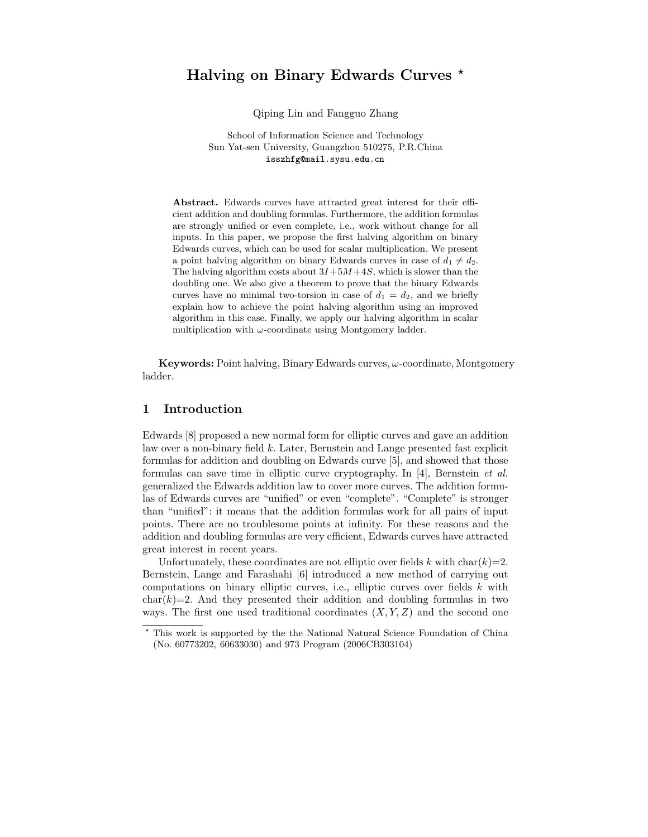# Halving on Binary Edwards Curves \*

Qiping Lin and Fangguo Zhang

School of Information Science and Technology Sun Yat-sen University, Guangzhou 510275, P.R.China isszhfg@mail.sysu.edu.cn

Abstract. Edwards curves have attracted great interest for their efficient addition and doubling formulas. Furthermore, the addition formulas are strongly unified or even complete, i.e., work without change for all inputs. In this paper, we propose the first halving algorithm on binary Edwards curves, which can be used for scalar multiplication. We present a point halving algorithm on binary Edwards curves in case of  $d_1 \neq d_2$ . The halving algorithm costs about  $3I+5M+4S$ , which is slower than the doubling one. We also give a theorem to prove that the binary Edwards curves have no minimal two-torsion in case of  $d_1 = d_2$ , and we briefly explain how to achieve the point halving algorithm using an improved algorithm in this case. Finally, we apply our halving algorithm in scalar multiplication with  $\omega$ -coordinate using Montgomery ladder.

**Keywords:** Point halving, Binary Edwards curves,  $\omega$ -coordinate, Montgomery ladder.

### 1 Introduction

Edwards [8] proposed a new normal form for elliptic curves and gave an addition law over a non-binary field k. Later, Bernstein and Lange presented fast explicit formulas for addition and doubling on Edwards curve [5], and showed that those formulas can save time in elliptic curve cryptography. In  $|4|$ , Bernstein *et al.* generalized the Edwards addition law to cover more curves. The addition formulas of Edwards curves are "unified" or even "complete". "Complete" is stronger than "unified": it means that the addition formulas work for all pairs of input points. There are no troublesome points at infinity. For these reasons and the addition and doubling formulas are very efficient, Edwards curves have attracted great interest in recent years.

Unfortunately, these coordinates are not elliptic over fields k with char( $k$ )=2. Bernstein, Lange and Farashahi [6] introduced a new method of carrying out computations on binary elliptic curves, i.e., elliptic curves over fields  $k$  with  $char(k)=2$ . And they presented their addition and doubling formulas in two ways. The first one used traditional coordinates  $(X, Y, Z)$  and the second one

<sup>?</sup> This work is supported by the the National Natural Science Foundation of China (No. 60773202, 60633030) and 973 Program (2006CB303104)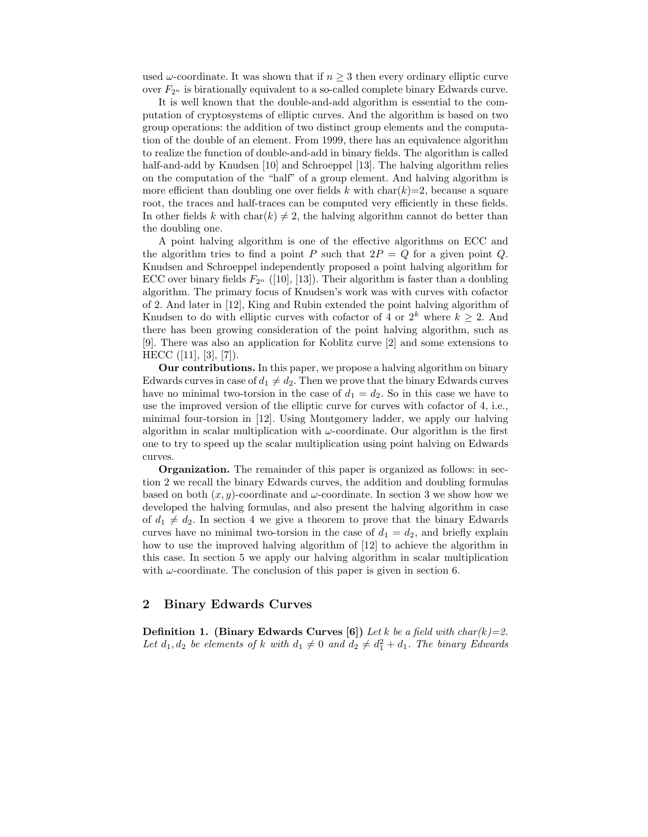used  $\omega$ -coordinate. It was shown that if  $n \geq 3$  then every ordinary elliptic curve over  $F_{2^n}$  is birationally equivalent to a so-called complete binary Edwards curve.

It is well known that the double-and-add algorithm is essential to the computation of cryptosystems of elliptic curves. And the algorithm is based on two group operations: the addition of two distinct group elements and the computation of the double of an element. From 1999, there has an equivalence algorithm to realize the function of double-and-add in binary fields. The algorithm is called half-and-add by Knudsen [10] and Schroeppel [13]. The halving algorithm relies on the computation of the "half" of a group element. And halving algorithm is more efficient than doubling one over fields k with char(k)=2, because a square root, the traces and half-traces can be computed very efficiently in these fields. In other fields k with char(k)  $\neq$  2, the halving algorithm cannot do better than the doubling one.

A point halving algorithm is one of the effective algorithms on ECC and the algorithm tries to find a point P such that  $2P = Q$  for a given point Q. Knudsen and Schroeppel independently proposed a point halving algorithm for ECC over binary fields  $F_{2^n}$  ([10], [13]). Their algorithm is faster than a doubling algorithm. The primary focus of Knudsen's work was with curves with cofactor of 2. And later in [12], King and Rubin extended the point halving algorithm of Knudsen to do with elliptic curves with cofactor of 4 or  $2^k$  where  $k \geq 2$ . And there has been growing consideration of the point halving algorithm, such as [9]. There was also an application for Koblitz curve [2] and some extensions to HECC ([11], [3], [7]).

Our contributions. In this paper, we propose a halving algorithm on binary Edwards curves in case of  $d_1 \neq d_2$ . Then we prove that the binary Edwards curves have no minimal two-torsion in the case of  $d_1 = d_2$ . So in this case we have to use the improved version of the elliptic curve for curves with cofactor of 4, i.e., minimal four-torsion in [12]. Using Montgomery ladder, we apply our halving algorithm in scalar multiplication with  $\omega$ -coordinate. Our algorithm is the first one to try to speed up the scalar multiplication using point halving on Edwards curves.

Organization. The remainder of this paper is organized as follows: in section 2 we recall the binary Edwards curves, the addition and doubling formulas based on both  $(x, y)$ -coordinate and  $\omega$ -coordinate. In section 3 we show how we developed the halving formulas, and also present the halving algorithm in case of  $d_1 \neq d_2$ . In section 4 we give a theorem to prove that the binary Edwards curves have no minimal two-torsion in the case of  $d_1 = d_2$ , and briefly explain how to use the improved halving algorithm of [12] to achieve the algorithm in this case. In section 5 we apply our halving algorithm in scalar multiplication with  $\omega$ -coordinate. The conclusion of this paper is given in section 6.

## 2 Binary Edwards Curves

**Definition 1.** (Binary Edwards Curves [6]) Let k be a field with char(k)=2. Let  $d_1, d_2$  be elements of k with  $d_1 \neq 0$  and  $d_2 \neq d_1^2 + d_1$ . The binary Edwards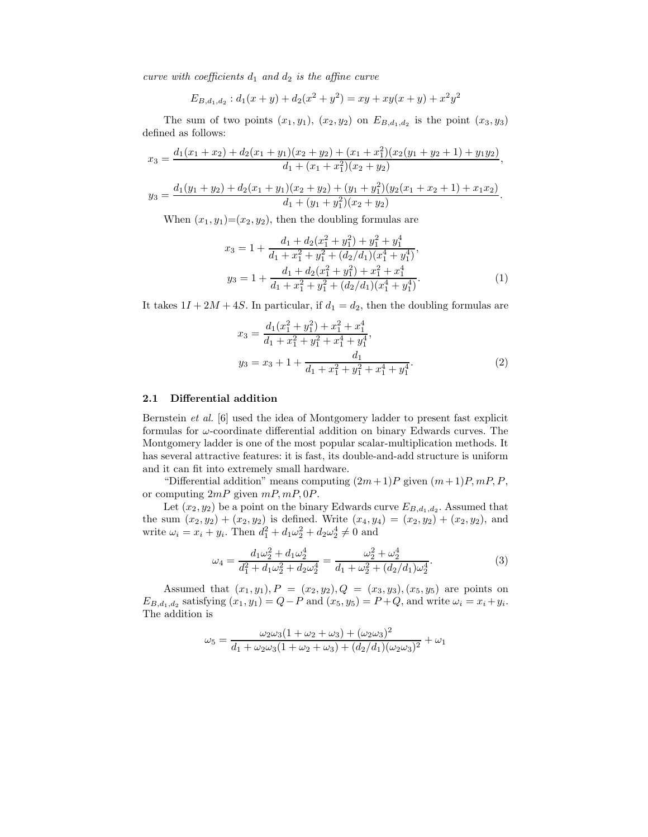curve with coefficients  $d_1$  and  $d_2$  is the affine curve

$$
E_{B,d_1,d_2}: d_1(x+y) + d_2(x^2+y^2) = xy + xy(x+y) + x^2y^2
$$

The sum of two points  $(x_1, y_1)$ ,  $(x_2, y_2)$  on  $E_{B,d_1,d_2}$  is the point  $(x_3, y_3)$ defined as follows:

$$
x_3 = \frac{d_1(x_1+x_2) + d_2(x_1+y_1)(x_2+y_2) + (x_1+x_1^2)(x_2(y_1+y_2+1) + y_1y_2)}{d_1 + (x_1+x_1^2)(x_2+y_2)},
$$

$$
y_3 = \frac{d_1(y_1 + y_2) + d_2(x_1 + y_1)(x_2 + y_2) + (y_1 + y_1^2)(y_2(x_1 + x_2 + 1) + x_1x_2)}{d_1 + (y_1 + y_1^2)(x_2 + y_2)}.
$$

When  $(x_1, y_1)=(x_2, y_2)$ , then the doubling formulas are

$$
x_3 = 1 + \frac{d_1 + d_2(x_1^2 + y_1^2) + y_1^2 + y_1^4}{d_1 + x_1^2 + y_1^2 + (d_2/d_1)(x_1^4 + y_1^4)},
$$
  
\n
$$
y_3 = 1 + \frac{d_1 + d_2(x_1^2 + y_1^2) + x_1^2 + x_1^4}{d_1 + x_1^2 + y_1^2 + (d_2/d_1)(x_1^4 + y_1^4)}.
$$
\n(1)

It takes  $1I + 2M + 4S$ . In particular, if  $d_1 = d_2$ , then the doubling formulas are

$$
x_3 = \frac{d_1(x_1^2 + y_1^2) + x_1^2 + x_1^4}{d_1 + x_1^2 + y_1^2 + x_1^4 + y_1^4},
$$
  
\n
$$
y_3 = x_3 + 1 + \frac{d_1}{d_1 + x_1^2 + y_1^2 + x_1^4 + y_1^4}.
$$
\n(2)

#### 2.1 Differential addition

Bernstein et al. [6] used the idea of Montgomery ladder to present fast explicit formulas for  $\omega$ -coordinate differential addition on binary Edwards curves. The Montgomery ladder is one of the most popular scalar-multiplication methods. It has several attractive features: it is fast, its double-and-add structure is uniform and it can fit into extremely small hardware.

"Differential addition" means computing  $(2m+1)P$  given  $(m+1)P, mP, P$ , or computing  $2mP$  given  $mP, mP, 0P$ .

Let  $(x_2, y_2)$  be a point on the binary Edwards curve  $E_{B,d_1,d_2}$ . Assumed that the sum  $(x_2, y_2) + (x_2, y_2)$  is defined. Write  $(x_4, y_4) = (x_2, y_2) + (x_2, y_2)$ , and write  $\omega_i = x_i + y_i$ . Then  $d_1^2 + d_1 \omega_2^2 + d_2 \omega_2^4 \neq 0$  and

$$
\omega_4 = \frac{d_1 \omega_2^2 + d_1 \omega_2^4}{d_1^2 + d_1 \omega_2^2 + d_2 \omega_2^4} = \frac{\omega_2^2 + \omega_2^4}{d_1 + d_2^2 + (d_2/d_1)\omega_2^4}.\tag{3}
$$

Assumed that  $(x_1, y_1), P = (x_2, y_2), Q = (x_3, y_3), (x_5, y_5)$  are points on  $E_{B,d_1,d_2}$  satisfying  $(x_1, y_1) = Q - P$  and  $(x_5, y_5) = P + Q$ , and write  $\omega_i = x_i + y_i$ . The addition is

$$
\omega_5 = \frac{\omega_2 \omega_3 (1 + \omega_2 + \omega_3) + (\omega_2 \omega_3)^2}{d_1 + \omega_2 \omega_3 (1 + \omega_2 + \omega_3) + (d_2/d_1)(\omega_2 \omega_3)^2} + \omega_1
$$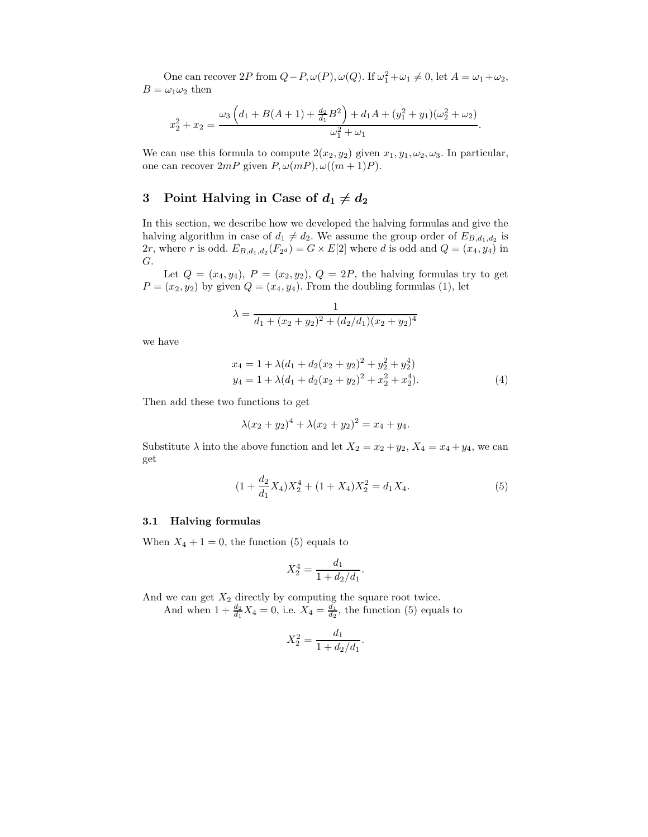One can recover  $2P$  from  $Q - P$ ,  $\omega(P)$ ,  $\omega(Q)$ . If  $\omega_1^2 + \omega_1 \neq 0$ , let  $A = \omega_1 + \omega_2$ ,  $B = \omega_1 \omega_2$  then

$$
x_2^2 + x_2 = \frac{\omega_3 \left(d_1 + B(A+1) + \frac{d_2}{d_1}B^2\right) + d_1A + (y_1^2 + y_1)(\omega_2^2 + \omega_2)}{\omega_1^2 + \omega_1}.
$$

We can use this formula to compute  $2(x_2, y_2)$  given  $x_1, y_1, \omega_2, \omega_3$ . In particular, one can recover  $2mP$  given  $P, \omega(mP), \omega((m+1)P)$ .

# 3 Point Halving in Case of  $d_1 \neq d_2$

In this section, we describe how we developed the halving formulas and give the halving algorithm in case of  $d_1 \neq d_2$ . We assume the group order of  $E_{B,d_1,d_2}$  is  $2r$ , where r is odd.  $E_{B,d_1,d_2}(F_{2^d}) = G \times E[2]$  where d is odd and  $Q = (x_4, y_4)$  in G.

Let  $Q = (x_4, y_4), P = (x_2, y_2), Q = 2P$ , the halving formulas try to get  $P = (x_2, y_2)$  by given  $Q = (x_4, y_4)$ . From the doubling formulas (1), let

$$
\lambda = \frac{1}{d_1 + (x_2 + y_2)^2 + (d_2/d_1)(x_2 + y_2)^4}
$$

we have

$$
x_4 = 1 + \lambda (d_1 + d_2(x_2 + y_2)^2 + y_2^2 + y_2^4)
$$
  
\n
$$
y_4 = 1 + \lambda (d_1 + d_2(x_2 + y_2)^2 + x_2^2 + x_2^4).
$$
\n(4)

Then add these two functions to get

$$
\lambda (x_2 + y_2)^4 + \lambda (x_2 + y_2)^2 = x_4 + y_4.
$$

Substitute  $\lambda$  into the above function and let  $X_2 = x_2 + y_2$ ,  $X_4 = x_4 + y_4$ , we can get

$$
(1 + \frac{d_2}{d_1}X_4)X_2^4 + (1 + X_4)X_2^2 = d_1X_4.
$$
 (5)

#### 3.1 Halving formulas

When  $X_4 + 1 = 0$ , the function (5) equals to

$$
X_2^4 = \frac{d_1}{1 + d_2/d_1}.
$$

And we can get  $X_2$  directly by computing the square root twice. And when  $1 + \frac{d_2}{d_1} X_4 = 0$ , i.e.  $X_4 = \frac{d_1}{d_2}$ , the function (5) equals to

$$
X_2^2 = \frac{d_1}{1 + d_2/d_1}.
$$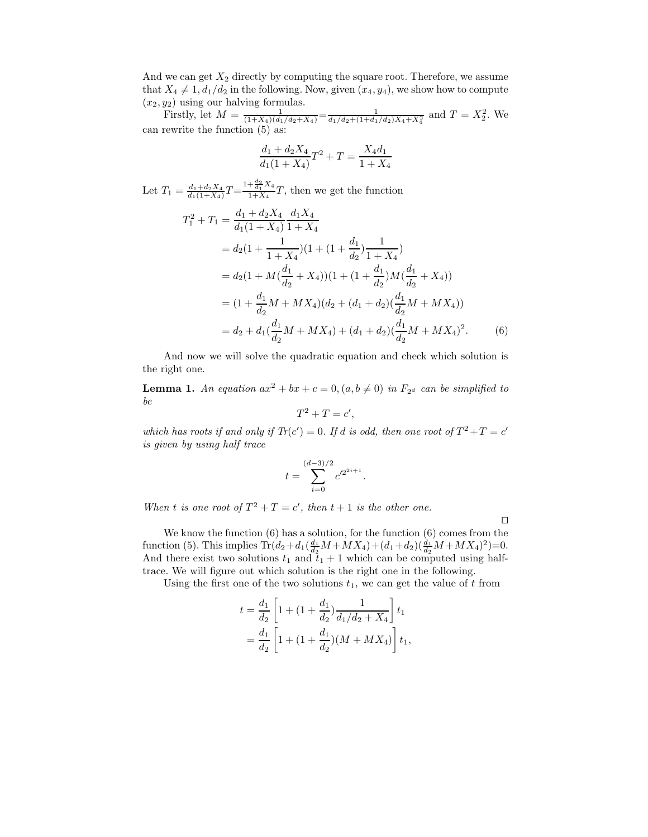And we can get  $X_2$  directly by computing the square root. Therefore, we assume that  $X_4 \neq 1$ ,  $d_1/d_2$  in the following. Now, given  $(x_4, y_4)$ , we show how to compute  $(x_2, y_2)$  using our halving formulas.

Firstly, let  $M = \frac{1}{(1+X_4)(d_1/d_2+X_4)} = \frac{1}{d_1/d_2+(1+d_1/d_2)X_4+X_4^2}$  and  $T = X_2^2$ . We can rewrite the function (5) as:

$$
\frac{d_1+d_2X_4}{d_1(1+X_4)}T^2+T=\frac{X_4d_1}{1+X_4}
$$

Let  $T_1 = \frac{d_1 + d_2 X_4}{d_1(1+X_4)} T = \frac{1+\frac{d_2}{d_1}X_4}{1+X_4}$  $\frac{1}{1+X_4}T$ , then we get the function

$$
T_1^2 + T_1 = \frac{d_1 + d_2 X_4}{d_1 (1 + X_4)} \frac{d_1 X_4}{1 + X_4}
$$
  
=  $d_2 (1 + \frac{1}{1 + X_4}) (1 + (1 + \frac{d_1}{d_2}) \frac{1}{1 + X_4})$   
=  $d_2 (1 + M(\frac{d_1}{d_2} + X_4)) (1 + (1 + \frac{d_1}{d_2}) M(\frac{d_1}{d_2} + X_4))$   
=  $(1 + \frac{d_1}{d_2} M + M X_4) (d_2 + (d_1 + d_2) (\frac{d_1}{d_2} M + M X_4))$   
=  $d_2 + d_1 (\frac{d_1}{d_2} M + M X_4) + (d_1 + d_2) (\frac{d_1}{d_2} M + M X_4)^2.$  (6)

And now we will solve the quadratic equation and check which solution is the right one.

**Lemma 1.** An equation  $ax^2 + bx + c = 0$ ,  $(a, b \neq 0)$  in  $F_{2^d}$  can be simplified to be

$$
T^2 + T = c',
$$

which has roots if and only if  $Tr(c') = 0$ . If d is odd, then one root of  $T^2 + T = c'$ is given by using half trace

$$
t = \sum_{i=0}^{(d-3)/2} c'^{2^{2i+1}}.
$$

When t is one root of  $T^2 + T = c'$ , then  $t + 1$  is the other one.

tu

We know the function (6) has a solution, for the function (6) comes from the function (5). This implies  $\text{Tr}(d_2 + d_1(\frac{d_1}{d_2}M + MX_4) + (d_1+d_2)(\frac{d_1}{d_2}M + MX_4)^2)=0.$ And there exist two solutions  $t_1$  and  $t_1 + 1$  which can be computed using halftrace. We will figure out which solution is the right one in the following.

Using the first one of the two solutions  $t_1$ , we can get the value of t from

$$
t = \frac{d_1}{d_2} \left[ 1 + (1 + \frac{d_1}{d_2}) \frac{1}{d_1/d_2 + X_4} \right] t_1
$$
  
=  $\frac{d_1}{d_2} \left[ 1 + (1 + \frac{d_1}{d_2}) (M + MX_4) \right] t_1$ ,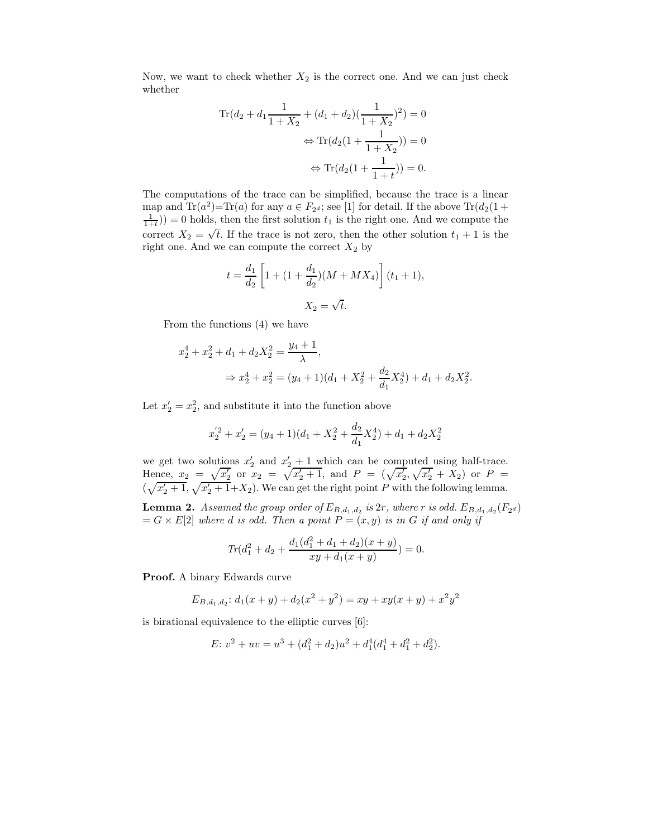Now, we want to check whether  $X_2$  is the correct one. And we can just check whether

Tr
$$
(d_2 + d_1 \frac{1}{1+X_2} + (d_1 + d_2)(\frac{1}{1+X_2})^2) = 0
$$
  
\n $\Leftrightarrow$  Tr $(d_2(1 + \frac{1}{1+X_2})) = 0$   
\n $\Leftrightarrow$  Tr $(d_2(1 + \frac{1}{1+t})) = 0.$ 

The computations of the trace can be simplified, because the trace is a linear map and Tr( $a^2$ )=Tr( $a$ ) for any  $a \in F_{2^d}$ ; see [1] for detail. If the above Tr( $d_2$ (1+  $(\frac{1}{1+t})$  = 0 holds, then the first solution  $t_1$  is the right one. And we compute the correct  $X_2 = \sqrt{t}$ . If the trace is not zero, then the other solution  $t_1 + 1$  is the right one. And we can compute the correct  $X_2$  by

$$
t = \frac{d_1}{d_2} \left[ 1 + (1 + \frac{d_1}{d_2})(M + MX_4) \right] (t_1 + 1),
$$
  

$$
X_2 = \sqrt{t}.
$$

From the functions (4) we have

$$
x_2^4 + x_2^2 + d_1 + d_2 X_2^2 = \frac{y_4 + 1}{\lambda},
$$
  

$$
\Rightarrow x_2^4 + x_2^2 = (y_4 + 1)(d_1 + X_2^2 + \frac{d_2}{d_1} X_2^4) + d_1 + d_2 X_2^2.
$$

Let  $x_2' = x_2^2$ , and substitute it into the function above

$$
x_2^{'2} + x_2' = (y_4 + 1)(d_1 + X_2^2 + \frac{d_2}{d_1}X_2^4) + d_1 + d_2X_2^2
$$

we get two solutions  $x'_2$  and  $x'_2 + 1$  which can be computed using half-trace. Hence,  $x_2 = \sqrt{x_2'}$  or  $x_2 = \sqrt{x_2' + 1}$ , and  $P = (\sqrt{x_2'}, \sqrt{x_2'} + X_2)$  or  $P =$  $(\sqrt{x_2'+1}, \sqrt{x_2'+1}+X_2)$ . We can get the right point P with the following lemma.

**Lemma 2.** Assumed the group order of  $E_{B,d_1,d_2}$  is  $2r$ , where r is odd.  $E_{B,d_1,d_2}(F_{2^d})$  $G = G \times E[2]$  where d is odd. Then a point  $P = (x, y)$  is in G if and only if

$$
Tr(d_1^2 + d_2 + \frac{d_1(d_1^2 + d_1 + d_2)(x + y)}{xy + d_1(x + y)}) = 0.
$$

Proof. A binary Edwards curve

$$
E_{B,d_1,d_2}: d_1(x+y) + d_2(x^2+y^2) = xy + xy(x+y) + x^2y^2
$$

is birational equivalence to the elliptic curves [6]:

$$
E: v2 + uv = u3 + (d12 + d2)u2 + d14(d14 + d12 + d22).
$$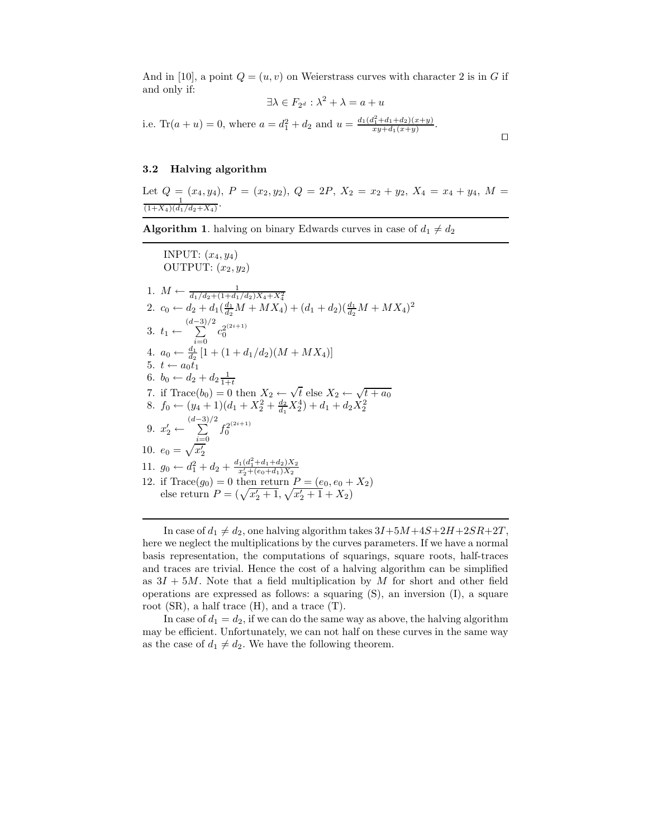And in [10], a point  $Q = (u, v)$  on Weierstrass curves with character 2 is in G if and only if:

$$
\exists \lambda \in F_{2^d} : \lambda^2 + \lambda = a + u
$$

 $\Box$ 

i.e. Tr( $a + u$ ) = 0, where  $a = d_1^2 + d_2$  and  $u = \frac{d_1(d_1^2 + d_1 + d_2)(x+y)}{xy + d_1(x+y)}$ .

#### 3.2 Halving algorithm

Let  $Q = (x_4, y_4), P = (x_2, y_2), Q = 2P, X_2 = x_2 + y_2, X_4 = x_4 + y_4, M =$  $\frac{1}{(1+X_4)(d_1/d_2+X_4)}$ .

**Algorithm 1.** halving on binary Edwards curves in case of  $d_1 \neq d_2$ 

INPUT:  $(x_4, y_4)$ OUTPUT:  $(x_2, y_2)$ 1.  $M \leftarrow \frac{1}{d_1/d_2 + (1+d_1/d_2)X_4 + X_4^2}$ <br>
2.  $c_0 \leftarrow d_2 + d_1(\frac{d_1}{d_2}M + MX_4) + (d_1+d_2)(\frac{d_1}{d_2}M + MX_4)^2$ 3.  $t_1 \leftarrow$  $(d \sum^{-3)/2}$ 4.  $a_0 \leftarrow \frac{d_1}{d_2} [1 + (1 + d_1/d_2)(M + MX_4)]$  $c_0^{2^{(2i+1)}}$ 0 5.  $t \leftarrow a_0^{\alpha_2}$ 6.  $b_0 \leftarrow d_2 + d_2 \frac{1}{1+t}$ 7. if Trace( $b_0$ ) = 0 then  $X_2 \leftarrow \sqrt{t}$  else  $X_2 \leftarrow \sqrt{t} + a_0$ 8.  $f_0 \leftarrow (y_4 + 1)(d_1 + X_2^2 + \frac{d_2}{d_1}X_2^4) + d_1 + d_2 X_2^2$ 9.  $x'_2 \leftarrow$  $(d \sum^{-3)/2}$  $i=0$  $f_0^{2^{(2i+1)}}$ 0 10.  $e_0 = \sqrt{x'_2}$ 2 11.  $g_0 \leftarrow d_1^2 + d_2 + \frac{d_1(d_1^2 + d_1 + d_2)X_2}{x_2' + (e_0 + d_1)X_2}$ 12. if  $Trace(g_0) = 0$  then return  $P = (e_0, e_0 + X_2)$ else return  $P = (\sqrt{x_2' + 1}, \sqrt{x_2' + 1} + X_2)$ 

In case of  $d_1 \neq d_2$ , one halving algorithm takes  $3I+5M+4S+2H+2SR+2T$ , here we neglect the multiplications by the curves parameters. If we have a normal basis representation, the computations of squarings, square roots, half-traces and traces are trivial. Hence the cost of a halving algorithm can be simplified as  $3I + 5M$ . Note that a field multiplication by M for short and other field operations are expressed as follows: a squaring (S), an inversion (I), a square root (SR), a half trace (H), and a trace (T).

In case of  $d_1 = d_2$ , if we can do the same way as above, the halving algorithm may be efficient. Unfortunately, we can not half on these curves in the same way as the case of  $d_1 \neq d_2$ . We have the following theorem.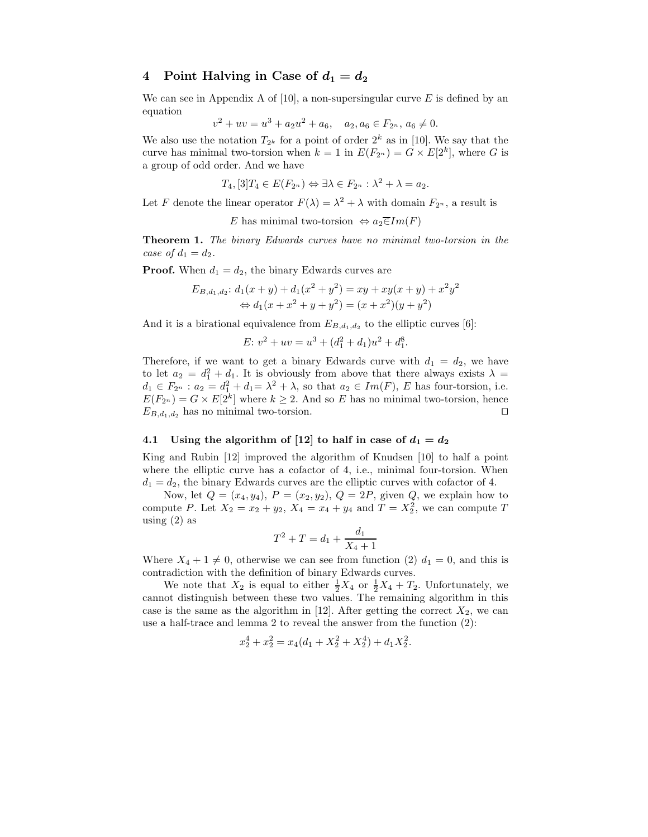## 4 Point Halving in Case of  $d_1 = d_2$

We can see in Appendix A of  $[10]$ , a non-supersingular curve E is defined by an equation

$$
v^{2} + uv = u^{3} + a_{2}u^{2} + a_{6}, \quad a_{2}, a_{6} \in F_{2^{n}}, a_{6} \neq 0.
$$

We also use the notation  $T_{2^k}$  for a point of order  $2^k$  as in [10]. We say that the curve has minimal two-torsion when  $k = 1$  in  $E(F_{2^n}) = G \times E[2^k]$ , where G is a group of odd order. And we have

$$
T_4, [3]T_4 \in E(F_{2^n}) \Leftrightarrow \exists \lambda \in F_{2^n} : \lambda^2 + \lambda = a_2.
$$

Let F denote the linear operator  $F(\lambda) = \lambda^2 + \lambda$  with domain  $F_{2^n}$ , a result is

E has minimal two-torsion 
$$
\Leftrightarrow a_2 \overline{\in} Im(F)
$$

Theorem 1. The binary Edwards curves have no minimal two-torsion in the case of  $d_1 = d_2$ .

**Proof.** When  $d_1 = d_2$ , the binary Edwards curves are

$$
E_{B,d_1,d_2}: d_1(x+y) + d_1(x^2+y^2) = xy + xy(x+y) + x^2y^2
$$
  

$$
\Leftrightarrow d_1(x+x^2+y+y^2) = (x+x^2)(y+y^2)
$$

And it is a birational equivalence from  $E_{B,d_1,d_2}$  to the elliptic curves [6]:

$$
E: v^2 + uv = u^3 + (d_1^2 + d_1)u^2 + d_1^8.
$$

Therefore, if we want to get a binary Edwards curve with  $d_1 = d_2$ , we have to let  $a_2 = d_1^2 + d_1$ . It is obviously from above that there always exists  $\lambda =$  $d_1 \in F_{2^n} : a_2 = d_1^2 + d_1 = \lambda^2 + \lambda$ , so that  $a_2 \in Im(F)$ , E has four-torsion, i.e.  $E(F_{2^n}) = G \times E[2^k]$  where  $k \geq 2$ . And so E has no minimal two-torsion, hence  $E_{B,d_1,d_2}$  has no minimal two-torsion.

### 4.1 Using the algorithm of [12] to half in case of  $d_1 = d_2$

King and Rubin [12] improved the algorithm of Knudsen [10] to half a point where the elliptic curve has a cofactor of 4, i.e., minimal four-torsion. When  $d_1 = d_2$ , the binary Edwards curves are the elliptic curves with cofactor of 4.

Now, let  $Q = (x_4, y_4), P = (x_2, y_2), Q = 2P$ , given Q, we explain how to compute P. Let  $X_2 = x_2 + y_2$ ,  $X_4 = x_4 + y_4$  and  $T = X_2^2$ , we can compute T using  $(2)$  as

$$
T^2 + T = d_1 + \frac{d_1}{X_4 + 1}
$$

Where  $X_4 + 1 \neq 0$ , otherwise we can see from function (2)  $d_1 = 0$ , and this is contradiction with the definition of binary Edwards curves.

We note that  $X_2$  is equal to either  $\frac{1}{2}X_4$  or  $\frac{1}{2}X_4 + T_2$ . Unfortunately, we cannot distinguish between these two values. The remaining algorithm in this case is the same as the algorithm in [12]. After getting the correct  $X_2$ , we can use a half-trace and lemma 2 to reveal the answer from the function (2):

$$
x_2^4 + x_2^2 = x_4(d_1 + X_2^2 + X_2^4) + d_1 X_2^2.
$$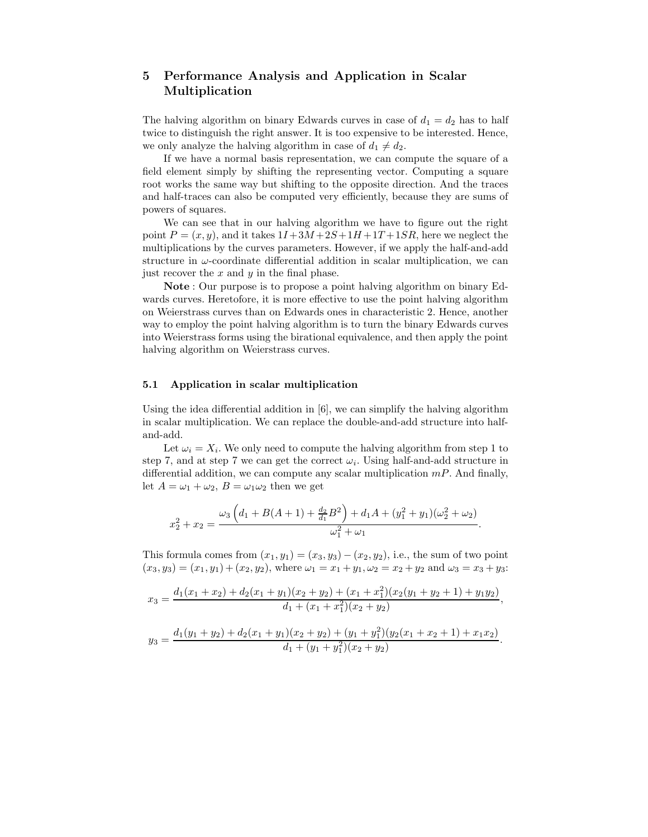# 5 Performance Analysis and Application in Scalar Multiplication

The halving algorithm on binary Edwards curves in case of  $d_1 = d_2$  has to half twice to distinguish the right answer. It is too expensive to be interested. Hence, we only analyze the halving algorithm in case of  $d_1 \neq d_2$ .

If we have a normal basis representation, we can compute the square of a field element simply by shifting the representing vector. Computing a square root works the same way but shifting to the opposite direction. And the traces and half-traces can also be computed very efficiently, because they are sums of powers of squares.

We can see that in our halving algorithm we have to figure out the right point  $P = (x, y)$ , and it takes  $1I + 3M + 2S + 1H + 1T + 1SR$ , here we neglect the multiplications by the curves parameters. However, if we apply the half-and-add structure in  $\omega$ -coordinate differential addition in scalar multiplication, we can just recover the  $x$  and  $y$  in the final phase.

Note : Our purpose is to propose a point halving algorithm on binary Edwards curves. Heretofore, it is more effective to use the point halving algorithm on Weierstrass curves than on Edwards ones in characteristic 2. Hence, another way to employ the point halving algorithm is to turn the binary Edwards curves into Weierstrass forms using the birational equivalence, and then apply the point halving algorithm on Weierstrass curves.

#### 5.1 Application in scalar multiplication

Using the idea differential addition in [6], we can simplify the halving algorithm in scalar multiplication. We can replace the double-and-add structure into halfand-add.

Let  $\omega_i = X_i$ . We only need to compute the halving algorithm from step 1 to step 7, and at step 7 we can get the correct  $\omega_i$ . Using half-and-add structure in differential addition, we can compute any scalar multiplication  $mP$ . And finally, let  $A = \omega_1 + \omega_2$ ,  $B = \omega_1 \omega_2$  then we get

$$
x_2^2 + x_2 = \frac{\omega_3 \left(d_1 + B(A+1) + \frac{d_2}{d_1}B^2\right) + d_1A + (y_1^2 + y_1)(\omega_2^2 + \omega_2)}{\omega_1^2 + \omega_1}
$$

.

This formula comes from  $(x_1, y_1) = (x_3, y_3) - (x_2, y_2)$ , i.e., the sum of two point  $(x_3, y_3) = (x_1, y_1) + (x_2, y_2)$ , where  $\omega_1 = x_1 + y_1$ ,  $\omega_2 = x_2 + y_2$  and  $\omega_3 = x_3 + y_3$ :

$$
x_3 = \frac{d_1(x_1 + x_2) + d_2(x_1 + y_1)(x_2 + y_2) + (x_1 + x_1^2)(x_2(y_1 + y_2 + 1) + y_1y_2)}{d_1 + (x_1 + x_1^2)(x_2 + y_2)},
$$
  

$$
y_3 = \frac{d_1(y_1 + y_2) + d_2(x_1 + y_1)(x_2 + y_2) + (y_1 + y_1^2)(y_2(x_1 + x_2 + 1) + x_1x_2)}{d_1 + (y_1 + y_1^2)(x_2 + y_2)}.
$$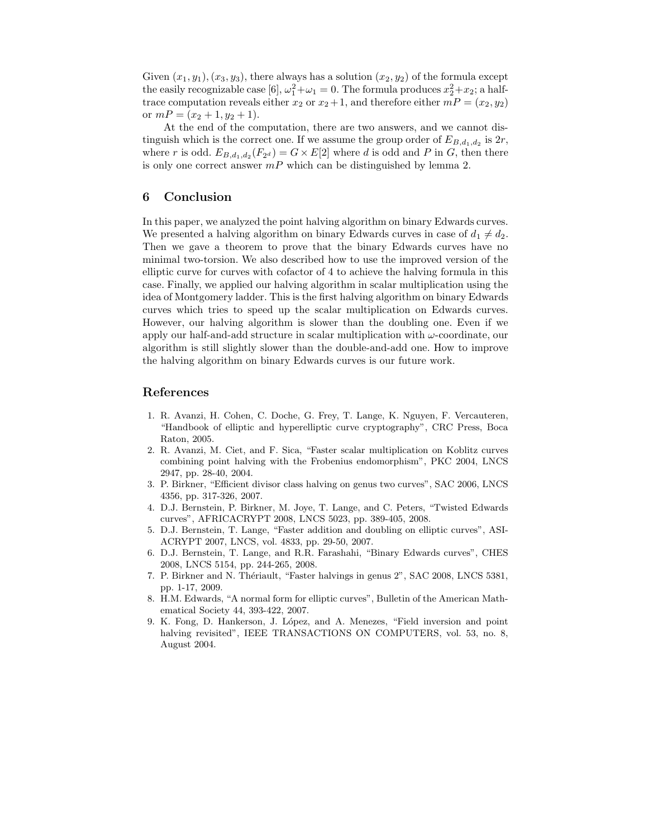Given  $(x_1, y_1), (x_3, y_3)$ , there always has a solution  $(x_2, y_2)$  of the formula except the easily recognizable case [6],  $\omega_1^2 + \omega_1 = 0$ . The formula produces  $x_2^2 + x_2$ ; a halftrace computation reveals either  $x_2$  or  $x_2 + 1$ , and therefore either  $mP = (x_2, y_2)$ or  $mP = (x_2 + 1, y_2 + 1).$ 

At the end of the computation, there are two answers, and we cannot distinguish which is the correct one. If we assume the group order of  $E_{B,d_1,d_2}$  is  $2r$ , where r is odd.  $E_{B,d_1,d_2}(F_{2^d}) = G \times E[2]$  where d is odd and P in G, then there is only one correct answer  $mP$  which can be distinguished by lemma 2.

## 6 Conclusion

In this paper, we analyzed the point halving algorithm on binary Edwards curves. We presented a halving algorithm on binary Edwards curves in case of  $d_1 \neq d_2$ . Then we gave a theorem to prove that the binary Edwards curves have no minimal two-torsion. We also described how to use the improved version of the elliptic curve for curves with cofactor of 4 to achieve the halving formula in this case. Finally, we applied our halving algorithm in scalar multiplication using the idea of Montgomery ladder. This is the first halving algorithm on binary Edwards curves which tries to speed up the scalar multiplication on Edwards curves. However, our halving algorithm is slower than the doubling one. Even if we apply our half-and-add structure in scalar multiplication with  $\omega$ -coordinate, our algorithm is still slightly slower than the double-and-add one. How to improve the halving algorithm on binary Edwards curves is our future work.

### References

- 1. R. Avanzi, H. Cohen, C. Doche, G. Frey, T. Lange, K. Nguyen, F. Vercauteren, "Handbook of elliptic and hyperelliptic curve cryptography", CRC Press, Boca Raton, 2005.
- 2. R. Avanzi, M. Ciet, and F. Sica, "Faster scalar multiplication on Koblitz curves combining point halving with the Frobenius endomorphism", PKC 2004, LNCS 2947, pp. 28-40, 2004.
- 3. P. Birkner, "Efficient divisor class halving on genus two curves", SAC 2006, LNCS 4356, pp. 317-326, 2007.
- 4. D.J. Bernstein, P. Birkner, M. Joye, T. Lange, and C. Peters, "Twisted Edwards curves", AFRICACRYPT 2008, LNCS 5023, pp. 389-405, 2008.
- 5. D.J. Bernstein, T. Lange, "Faster addition and doubling on elliptic curves", ASI-ACRYPT 2007, LNCS, vol. 4833, pp. 29-50, 2007.
- 6. D.J. Bernstein, T. Lange, and R.R. Farashahi, "Binary Edwards curves", CHES 2008, LNCS 5154, pp. 244-265, 2008.
- 7. P. Birkner and N. Thériault, "Faster halvings in genus 2", SAC 2008, LNCS 5381, pp. 1-17, 2009.
- 8. H.M. Edwards, "A normal form for elliptic curves", Bulletin of the American Mathematical Society 44, 393-422, 2007.
- 9. K. Fong, D. Hankerson, J. L´opez, and A. Menezes, "Field inversion and point halving revisited", IEEE TRANSACTIONS ON COMPUTERS, vol. 53, no. 8, August 2004.